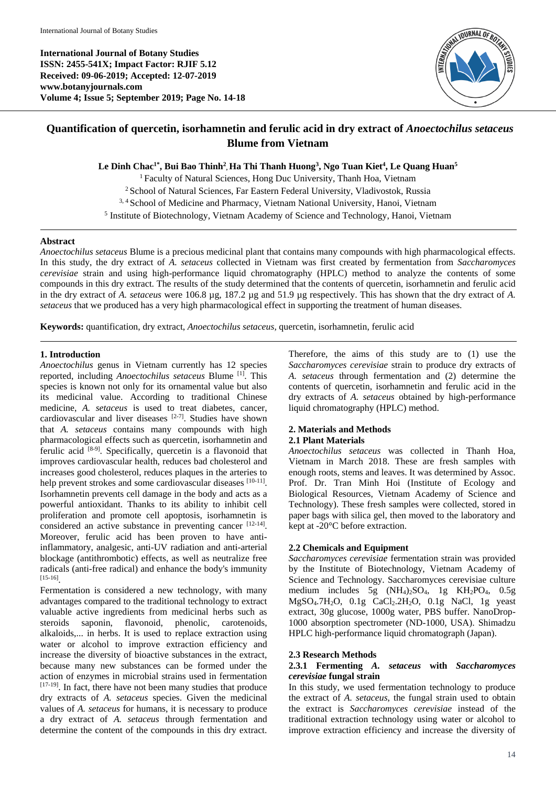**International Journal of Botany Studies ISSN: 2455-541X; Impact Factor: RJIF 5.12 Received: 09-06-2019; Accepted: 12-07-2019 www.botanyjournals.com Volume 4; Issue 5; September 2019; Page No. 14-18**



# **Quantification of quercetin, isorhamnetin and ferulic acid in dry extract of** *Anoectochilus setaceus* **Blume from Vietnam**

**Le Dinh Chac1\*, Bui Bao Thinh<sup>2</sup> , Ha Thi Thanh Huong<sup>3</sup> , Ngo Tuan Kiet<sup>4</sup> , Le Quang Huan<sup>5</sup>**

<sup>1</sup> Faculty of Natural Sciences, Hong Duc University, Thanh Hoa, Vietnam <sup>2</sup> School of Natural Sciences, Far Eastern Federal University, Vladivostok, Russia <sup>3, 4</sup> School of Medicine and Pharmacy, Vietnam National University, Hanoi, Vietnam <sup>5</sup> Institute of Biotechnology, Vietnam Academy of Science and Technology, Hanoi, Vietnam

# **Abstract**

*Anoectochilus setaceus* Blume is a precious medicinal plant that contains many compounds with high pharmacological effects. In this study, the dry extract of *A. setaceus* collected in Vietnam was first created by fermentation from *Saccharomyces cerevisiae* strain and using high-performance liquid chromatography (HPLC) method to analyze the contents of some compounds in this dry extract. The results of the study determined that the contents of quercetin, isorhamnetin and ferulic acid in the dry extract of *A. setaceus* were 106.8 µg, 187.2 µg and 51.9 µg respectively. This has shown that the dry extract of *A. setaceus* that we produced has a very high pharmacological effect in supporting the treatment of human diseases.

**Keywords:** quantification, dry extract, *Anoectochilus setaceus,* quercetin, isorhamnetin, ferulic acid

# **1. Introduction**

*Anoectochilus* genus in Vietnam currently has 12 species reported, including *Anoectochilus setaceus* Blume [1]. This species is known not only for its ornamental value but also its medicinal value. According to traditional Chinese medicine, *A. setaceus* is used to treat diabetes, cancer, cardiovascular and liver diseases  $[2-7]$ . Studies have shown that *A. setaceus* contains many compounds with high pharmacological effects such as quercetin, isorhamnetin and ferulic acid [8-9]. Specifically, quercetin is a flavonoid that improves cardiovascular health, reduces bad cholesterol and increases good cholesterol, reduces plaques in the arteries to help prevent strokes and some cardiovascular diseases [10-11]. Isorhamnetin prevents cell damage in the body and acts as a powerful antioxidant. Thanks to its ability to inhibit cell proliferation and promote cell apoptosis, isorhamnetin is considered an active substance in preventing cancer [12-14]. Moreover, ferulic acid has been proven to have antiinflammatory, analgesic, anti-UV radiation and anti-arterial blockage (antithrombotic) effects, as well as neutralize free radicals (anti-free radical) and enhance the body's immunity [15-16] .

Fermentation is considered a new technology, with many advantages compared to the traditional technology to extract valuable active ingredients from medicinal herbs such as steroids saponin, flavonoid, phenolic, carotenoids, alkaloids,... in herbs. It is used to replace extraction using water or alcohol to improve extraction efficiency and increase the diversity of bioactive substances in the extract, because many new substances can be formed under the action of enzymes in microbial strains used in fermentation [17-19]. In fact, there have not been many studies that produce dry extracts of *A. setaceus* species. Given the medicinal values of *A. setaceus* for humans, it is necessary to produce a dry extract of *A. setaceus* through fermentation and determine the content of the compounds in this dry extract.

Therefore, the aims of this study are to (1) use the *Saccharomyces cerevisiae* strain to produce dry extracts of *A. setaceus* through fermentation and (2) determine the contents of quercetin, isorhamnetin and ferulic acid in the dry extracts of *A. setaceus* obtained by high-performance liquid chromatography (HPLC) method.

# **2. Materials and Methods**

# **2.1 Plant Materials**

*Anoectochilus setaceus* was collected in Thanh Hoa, Vietnam in March 2018. These are fresh samples with enough roots, stems and leaves. It was determined by Assoc. Prof. Dr. Tran Minh Hoi (Institute of Ecology and Biological Resources, Vietnam Academy of Science and Technology). These fresh samples were collected, stored in paper bags with silica gel, then moved to the laboratory and kept at -20°C before extraction.

# **2.2 Chemicals and Equipment**

*Saccharomyces cerevisiae* fermentation strain was provided by the Institute of Biotechnology, Vietnam Academy of Science and Technology. Saccharomyces cerevisiae culture medium includes 5g (NH<sub>4</sub>)<sub>2</sub>SO<sub>4</sub>, 1g KH<sub>2</sub>PO<sub>4</sub>, 0.5g MgSO4.7H2O, 0.1g CaCl2.2H2O, 0.1g NaCl, 1g yeast extract, 30g glucose, 1000g water, PBS buffer. NanoDrop-1000 absorption spectrometer (ND-1000, USA). Shimadzu HPLC high-performance liquid chromatograph (Japan).

# **2.3 Research Methods**

# **2.3.1 Fermenting** *A. setaceus* **with** *Saccharomyces cerevisiae* **fungal strain**

In this study, we used fermentation technology to produce the extract of *A. setaceus*, the fungal strain used to obtain the extract is *Saccharomyces cerevisiae* instead of the traditional extraction technology using water or alcohol to improve extraction efficiency and increase the diversity of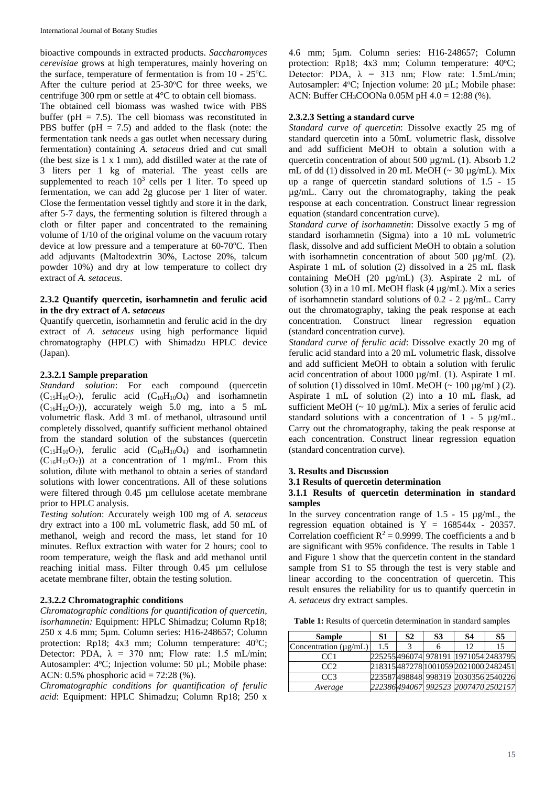bioactive compounds in extracted products. *Saccharomyces cerevisiae* grows at high temperatures, mainly hovering on the surface, temperature of fermentation is from  $10 - 25^{\circ}C$ . After the culture period at  $25{\text -}30^{\circ}\text{C}$  for three weeks, we centrifuge 300 rpm or settle at 4°C to obtain cell biomass.

The obtained cell biomass was washed twice with PBS buffer ( $pH = 7.5$ ). The cell biomass was reconstituted in PBS buffer ( $pH = 7.5$ ) and added to the flask (note: the fermentation tank needs a gas outlet when necessary during fermentation) containing *A. setaceus* dried and cut small (the best size is 1 x 1 mm), add distilled water at the rate of 3 liters per 1 kg of material. The yeast cells are supplemented to reach  $10^3$  cells per 1 liter. To speed up fermentation, we can add 2g glucose per 1 liter of water. Close the fermentation vessel tightly and store it in the dark, after 5-7 days, the fermenting solution is filtered through a cloth or filter paper and concentrated to the remaining volume of 1/10 of the original volume on the vacuum rotary device at low pressure and a temperature at  $60-70$ <sup>o</sup>C. Then add adjuvants (Maltodextrin 30%, Lactose 20%, talcum powder 10%) and dry at low temperature to collect dry extract of *A. setaceus*.

# **2.3.2 Quantify quercetin, isorhamnetin and ferulic acid in the dry extract of** *A. setaceus*

Quantify quercetin, isorhamnetin and ferulic acid in the dry extract of *A. setaceus* using high performance liquid chromatography (HPLC) with Shimadzu HPLC device (Japan).

#### **2.3.2.1 Sample preparation**

*Standard solution*: For each compound (quercetin  $(C_{15}H_{10}O_7)$ , ferulic acid  $(C_{10}H_{10}O_4)$  and isorhamnetin  $(C_{16}H_{12}O_7)$ , accurately weigh 5.0 mg, into a 5 mL volumetric flask. Add 3 mL of methanol, ultrasound until completely dissolved, quantify sufficient methanol obtained from the standard solution of the substances (quercetin  $(C_{15}H_{10}O_7)$ , ferulic acid  $(C_{10}H_{10}O_4)$  and isorhamnetin  $(C_{16}H_{12}O_7)$  at a concentration of 1 mg/mL. From this solution, dilute with methanol to obtain a series of standard solutions with lower concentrations. All of these solutions were filtered through 0.45 µm cellulose acetate membrane prior to HPLC analysis.

*Testing solution*: Accurately weigh 100 mg of *A. setaceus* dry extract into a 100 mL volumetric flask, add 50 mL of methanol, weigh and record the mass, let stand for 10 minutes. Reflux extraction with water for 2 hours; cool to room temperature, weigh the flask and add methanol until reaching initial mass. Filter through 0.45 µm cellulose acetate membrane filter, obtain the testing solution.

### **2.3.2.2 Chromatographic conditions**

*Chromatographic conditions for quantification of quercetin, isorhamnetin:* Equipment: HPLC Shimadzu; Column Rp18; 250 x 4.6 mm; 5µm. Column series: H16-248657; Column protection: Rp18;  $4x3$  mm; Column temperature:  $40^{\circ}$ C; Detector: PDA,  $\lambda = 370$  nm; Flow rate: 1.5 mL/min; Autosampler: 4°C; Injection volume: 50 µL; Mobile phase: ACN: 0.5% phosphoric acid = 72:28 (%).

*Chromatographic conditions for quantification of ferulic acid*: Equipment: HPLC Shimadzu; Column Rp18; 250 x 4.6 mm; 5µm. Column series: H16-248657; Column protection: Rp18; 4x3 mm; Column temperature: 40°C; Detector: PDA,  $\lambda = 313$  nm; Flow rate: 1.5mL/min; Autosampler: 4°C; Injection volume: 20 µL; Mobile phase: ACN: Buffer CH3COONa 0.05M pH 4.0 = 12:88 (%).

# **2.3.2.3 Setting a standard curve**

*Standard curve of quercetin*: Dissolve exactly 25 mg of standard quercetin into a 50mL volumetric flask, dissolve and add sufficient MeOH to obtain a solution with a quercetin concentration of about 500  $\mu$ g/mL (1). Absorb 1.2 mL of dd (1) dissolved in 20 mL MeOH ( $\sim$  30 µg/mL). Mix up a range of quercetin standard solutions of 1.5 - 15 µg/mL. Carry out the chromatography, taking the peak response at each concentration. Construct linear regression equation (standard concentration curve).

*Standard curve of isorhamnetin*: Dissolve exactly 5 mg of standard isorhamnetin (Sigma) into a 10 mL volumetric flask, dissolve and add sufficient MeOH to obtain a solution with isorhamnetin concentration of about 500 µg/mL (2). Aspirate 1 mL of solution (2) dissolved in a 25 mL flask containing MeOH (20 µg/mL) (3). Aspirate 2 mL of solution (3) in a 10 mL MeOH flask (4 µg/mL). Mix a series of isorhamnetin standard solutions of 0.2 - 2 µg/mL. Carry out the chromatography, taking the peak response at each concentration. Construct linear regression equation (standard concentration curve).

*Standard curve of ferulic acid*: Dissolve exactly 20 mg of ferulic acid standard into a 20 mL volumetric flask, dissolve and add sufficient MeOH to obtain a solution with ferulic acid concentration of about 1000 µg/mL (1). Aspirate 1 mL of solution (1) dissolved in 10mL MeOH ( $\sim$  100  $\mu$ g/mL) (2). Aspirate 1 mL of solution (2) into a 10 mL flask, ad sufficient MeOH ( $\sim 10 \mu g/mL$ ). Mix a series of ferulic acid standard solutions with a concentration of 1 - 5 µg/mL. Carry out the chromatography, taking the peak response at each concentration. Construct linear regression equation (standard concentration curve).

#### **3. Results and Discussion**

**3.1 Results of quercetin determination**

#### **3.1.1 Results of quercetin determination in standard samples**

In the survey concentration range of 1.5 - 15 µg/mL, the regression equation obtained is  $Y = 168544x - 20357$ . Correlation coefficient  $R^2 = 0.9999$ . The coefficients a and b are significant with 95% confidence. The results in Table 1 and Figure 1 show that the quercetin content in the standard sample from S1 to S5 through the test is very stable and linear according to the concentration of quercetin. This result ensures the reliability for us to quantify quercetin in *A. setaceus* dry extract samples.

**Table 1:** Results of quercetin determination in standard samples

| <b>Sample</b>              | S1  | S2 | S <sub>3</sub> | <b>S4</b>                            | S5 |
|----------------------------|-----|----|----------------|--------------------------------------|----|
| Concentration $(\mu g/mL)$ | 1.5 |    |                | 12                                   | 15 |
| CC <sub>1</sub>            |     |    |                | 225255 496074 978191 1971054 2483795 |    |
| CC <sub>2</sub>            |     |    |                | 218315487278 1001059 2021000 2482451 |    |
| CC <sub>3</sub>            |     |    |                | 223587 498848 998319 2030356 2540226 |    |
| Average                    |     |    |                | 222386494067 992523 2007470 2502157  |    |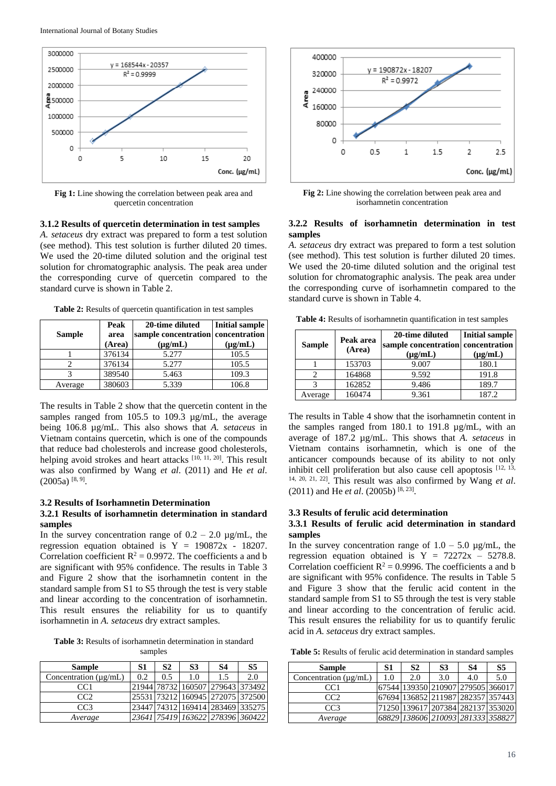

**Fig 1:** Line showing the correlation between peak area and quercetin concentration

### **3.1.2 Results of quercetin determination in test samples**

*A. setaceus* dry extract was prepared to form a test solution (see method). This test solution is further diluted 20 times. We used the 20-time diluted solution and the original test solution for chromatographic analysis. The peak area under the corresponding curve of quercetin compared to the standard curve is shown in Table 2.

**Table 2:** Results of quercetin quantification in test samples

|               | Peak   | 20-time diluted                    | <b>Initial sample</b> |
|---------------|--------|------------------------------------|-----------------------|
| <b>Sample</b> | area   | sample concentration concentration |                       |
|               | (Area) | $(\mu g/mL)$                       | $(\mu g/mL)$          |
|               | 376134 | 5.277                              | 105.5                 |
|               | 376134 | 5.277                              | 105.5                 |
|               | 389540 | 5.463                              | 109.3                 |
| Average       | 380603 | 5.339                              | 106.8                 |

The results in Table 2 show that the quercetin content in the samples ranged from 105.5 to 109.3  $\mu$ g/mL, the average being 106.8 µg/mL. This also shows that *A. setaceus* in Vietnam contains quercetin, which is one of the compounds that reduce bad cholesterols and increase good cholesterols, helping avoid strokes and heart attacks [10, 11, 20]. This result was also confirmed by Wang *et al*. (2011) and He *et al*.  $(2005a)$ <sup>[8, 9]</sup>.

#### **3.2 Results of Isorhamnetin Determination**

# **3.2.1 Results of isorhamnetin determination in standard samples**

In the survey concentration range of  $0.2 - 2.0 \mu g/mL$ , the regression equation obtained is  $Y = 190872x - 18207$ . Correlation coefficient  $R^2 = 0.9972$ . The coefficients a and b are significant with 95% confidence. The results in Table 3 and Figure 2 show that the isorhamnetin content in the standard sample from S1 to S5 through the test is very stable and linear according to the concentration of isorhamnetin. This result ensures the reliability for us to quantify isorhamnetin in *A. setaceus* dry extract samples.

**Table 3:** Results of isorhamnetin determination in standard samples

| <b>Sample</b>              | S1  | S2  | S <sub>3</sub> | S4                               | S5  |
|----------------------------|-----|-----|----------------|----------------------------------|-----|
| Concentration $(\mu g/mL)$ | 0.2 | 0.5 | 1.0            | 1.5                              | 2.0 |
| CC <sub>1</sub>            |     |     |                | 21944 78732 160507 279643 373492 |     |
| CC2                        |     |     |                | 25531 73212 160945 272075 372500 |     |
| CC <sub>3</sub>            |     |     |                | 23447 74312 169414 283469 335275 |     |
| Average                    |     |     |                | 23641 75419 163622 278396 360422 |     |



**Fig 2:** Line showing the correlation between peak area and isorhamnetin concentration

# **3.2.2 Results of isorhamnetin determination in test samples**

*A. setaceus* dry extract was prepared to form a test solution (see method). This test solution is further diluted 20 times. We used the 20-time diluted solution and the original test solution for chromatographic analysis. The peak area under the corresponding curve of isorhamnetin compared to the standard curve is shown in Table 4.

**Table 4:** Results of isorhamnetin quantification in test samples

| <b>Sample</b> | Peak area<br>(Area) | 20-time diluted<br>sample concentration concentration<br>$(\mu g/mL)$ | <b>Initial sample</b><br>$(\mu g/mL)$ |
|---------------|---------------------|-----------------------------------------------------------------------|---------------------------------------|
|               | 153703              | 9.007                                                                 | 180.1                                 |
|               | 164868              | 9.592                                                                 | 191.8                                 |
|               | 162852              | 9.486                                                                 | 189.7                                 |
| Average       | 160474              | 9.361                                                                 | 187.2                                 |

The results in Table 4 show that the isorhamnetin content in the samples ranged from 180.1 to 191.8 µg/mL, with an average of 187.2 µg/mL. This shows that *A. setaceus* in Vietnam contains isorhamnetin, which is one of the anticancer compounds because of its ability to not only inhibit cell proliferation but also cause cell apoptosis [12, 13, 14, 20, 21, 22]. This result was also confirmed by Wang *et al*. (2011) and He *et al*. (2005b) [8, 23] .

# **3.3 Results of ferulic acid determination**

# **3.3.1 Results of ferulic acid determination in standard samples**

In the survey concentration range of  $1.0 - 5.0$   $\mu$ g/mL, the regression equation obtained is  $Y = 72272x - 5278.8$ . Correlation coefficient  $R^2 = 0.9996$ . The coefficients a and b are significant with 95% confidence. The results in Table 5 and Figure 3 show that the ferulic acid content in the standard sample from S1 to S5 through the test is very stable and linear according to the concentration of ferulic acid. This result ensures the reliability for us to quantify ferulic acid in *A. setaceus* dry extract samples.

**Table 5:** Results of ferulic acid determination in standard samples

| <b>Sample</b>              | S <sub>1</sub> | S <sub>2</sub> | S <sub>3</sub>                    | S4  | S <sub>5</sub> |
|----------------------------|----------------|----------------|-----------------------------------|-----|----------------|
| Concentration $(\mu g/mL)$ | 1.0            | 2.0            | 3.0                               | 4.0 | 5.0            |
| CC <sub>1</sub>            |                |                | 67544 139350 210907 279505 366017 |     |                |
| CC <sub>2</sub>            |                |                | 67694 136852 211987 282357 357443 |     |                |
| CC <sub>3</sub>            |                |                | 71250 139617 207384 282137 353020 |     |                |
| Average                    |                |                | 68829 138606 210093 281333 358827 |     |                |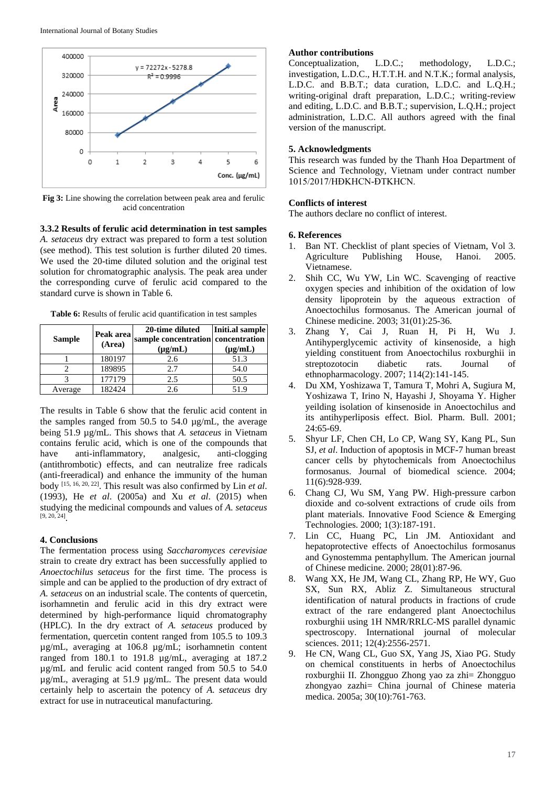

**Fig 3:** Line showing the correlation between peak area and ferulic acid concentration

**3.3.2 Results of ferulic acid determination in test samples** *A. setaceus* dry extract was prepared to form a test solution (see method). This test solution is further diluted 20 times. We used the 20-time diluted solution and the original test solution for chromatographic analysis. The peak area under the corresponding curve of ferulic acid compared to the standard curve is shown in Table 6.

**Table 6:** Results of ferulic acid quantification in test samples

| <b>Sample</b> | Peak area<br>(Area) | 20-time diluted<br>sample concentration concentration<br>$(\mu g/mL)$ | Initi.al sample<br>$(\mu g/mL)$ |
|---------------|---------------------|-----------------------------------------------------------------------|---------------------------------|
|               | 180197              | 2.6                                                                   | 51.3                            |
|               | 189895              | 2.7                                                                   | 54.0                            |
|               | 177179              | 2.5                                                                   | 50.5                            |
| Average       | 182424              | 2.6                                                                   | 51.9                            |

The results in Table 6 show that the ferulic acid content in the samples ranged from 50.5 to 54.0 µg/mL, the average being 51.9 µg/mL. This shows that *A. setaceus* in Vietnam contains ferulic acid, which is one of the compounds that have anti-inflammatory, analgesic, anti-clogging (antithrombotic) effects, and can neutralize free radicals (anti-freeradical) and enhance the immunity of the human body [15, 16, 20, 22] . This result was also confirmed by Lin *et al*. (1993), He *et al*. (2005a) and Xu *et al*. (2015) when studying the medicinal compounds and values of *A. setaceus* [9, 20, 24] .

### **4. Conclusions**

The fermentation process using *Saccharomyces cerevisiae* strain to create dry extract has been successfully applied to *Anoectochilus setaceus* for the first time. The process is simple and can be applied to the production of dry extract of *A. setaceus* on an industrial scale. The contents of quercetin, isorhamnetin and ferulic acid in this dry extract were determined by high-performance liquid chromatography (HPLC). In the dry extract of *A. setaceus* produced by fermentation, quercetin content ranged from 105.5 to 109.3 µg/mL, averaging at 106.8 µg/mL; isorhamnetin content ranged from 180.1 to 191.8 µg/mL, averaging at 187.2 µg/mL and ferulic acid content ranged from 50.5 to 54.0 µg/mL, averaging at 51.9 µg/mL. The present data would certainly help to ascertain the potency of *A. setaceus* dry extract for use in nutraceutical manufacturing.

Author contributions<br>Conceptualization, L.D.C.; Conceptualization, L.D.C.; methodology, L.D.C.; investigation, L.D.C., H.T.T.H. and N.T.K.; formal analysis, L.D.C. and B.B.T.; data curation, L.D.C. and L.Q.H.; writing-original draft preparation, L.D.C.; writing-review and editing, L.D.C. and B.B.T.; supervision, L.Q.H.; project administration, L.D.C. All authors agreed with the final version of the manuscript.

# **5. Acknowledgments**

This research was funded by the Thanh Hoa Department of Science and Technology, Vietnam under contract number 1015/2017/HĐKHCN-ĐTKHCN.

# **Conflicts of interest**

The authors declare no conflict of interest.

#### **6. References**

- 1. Ban NT. Checklist of plant species of Vietnam, Vol 3. Agriculture Publishing House, Hanoi. 2005. Vietnamese.
- 2. Shih CC, Wu YW, Lin WC. Scavenging of reactive oxygen species and inhibition of the oxidation of low density lipoprotein by the aqueous extraction of Anoectochilus formosanus. The American journal of Chinese medicine. 2003; 31(01):25-36.
- 3. Zhang Y, Cai J, Ruan H, Pi H, Wu J. Antihyperglycemic activity of kinsenoside, a high yielding constituent from Anoectochilus roxburghii in streptozotocin diabetic rats. Journal of ethnopharmacology. 2007; 114(2):141-145.
- 4. Du XM, Yoshizawa T, Tamura T, Mohri A, Sugiura M, Yoshizawa T, Irino N, Hayashi J, Shoyama Y. Higher yeilding isolation of kinsenoside in Anoectochilus and its antihyperliposis effect. Biol. Pharm. Bull. 2001; 24:65-69.
- 5. Shyur LF, Chen CH, Lo CP, Wang SY, Kang PL, Sun SJ, *et al*. Induction of apoptosis in MCF-7 human breast cancer cells by phytochemicals from Anoectochilus formosanus. Journal of biomedical science. 2004; 11(6):928-939.
- 6. Chang CJ, Wu SM, Yang PW. High-pressure carbon dioxide and co-solvent extractions of crude oils from plant materials. Innovative Food Science & Emerging Technologies. 2000; 1(3):187-191.
- 7. Lin CC, Huang PC, Lin JM. Antioxidant and hepatoprotective effects of Anoectochilus formosanus and Gynostemma pentaphyllum. The American journal of Chinese medicine. 2000; 28(01):87-96.
- 8. Wang XX, He JM, Wang CL, Zhang RP, He WY, Guo SX, Sun RX, Abliz Z. Simultaneous structural identification of natural products in fractions of crude extract of the rare endangered plant Anoectochilus roxburghii using 1H NMR/RRLC-MS parallel dynamic spectroscopy. International journal of molecular sciences. 2011; 12(4):2556-2571.
- 9. He CN, Wang CL, Guo SX, Yang JS, Xiao PG. Study on chemical constituents in herbs of Anoectochilus roxburghii II. Zhongguo Zhong yao za zhi= Zhongguo zhongyao zazhi= China journal of Chinese materia medica. 2005a; 30(10):761-763.